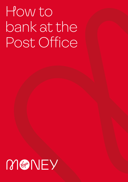# How to bank at the Post Office

## MANEY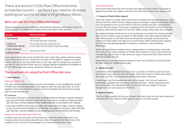There are around 11,500 Post Office branches across the country – perfect if you need to do some banking but you're not near a Virgin Money Store.

### Who can use the Post Office Services?

These banking services are available to Virgin Money customers<sup>1</sup> who have a current or savings account. The table below explains what you'll need to take with you.

| <b>Service</b>                                    | What you'll need                                                                        |
|---------------------------------------------------|-----------------------------------------------------------------------------------------|
| 1. Cash deposit                                   | Debit card or<br>Pre-printed bank giro credit slips                                     |
| 2. Cheque or<br>Postal Order deposit <sup>1</sup> | Pre-printed bank giro credit slips and<br>a Post Office Service Cheque Deposit envelope |
| 3. Cash withdrawal                                | Debit card and PIN                                                                      |
| 4. Balance check                                  |                                                                                         |

If you need a debit card or pre-printed bank giro credit slips, please call the number in the 'Other important info' section on the back of this leaflet or speak to the team in Store. Not all accounts provide these so you may need to change your account if you want to use the Post Office Service. Cheque Deposit envelopes are available at all Post Office branches and by calling the number on the back.

## The lowdown on using the Post Office Service

#### **1. Cash deposit**

#### Using your debit card

The cash will be credited to your account and available to use straightaway (if paid in before 4pm on a working day). If you deposit cash this way after 4pm, or at the weekend, the funds will show in your account immediately but won't be processed until the next working day.

#### For example:

- If you pay in £50 cash using your debit card before 4pm on Monday, it will be credited to your account and be available to use that day. If you pay it in using your debit card after 4pm that day, it will be available to use straightaway but not processed until Tuesday.
- If you pay in £200 in cash using your debit card before 4pm on Friday, it will be credited to your account and be available to use that day. If you pay it in using your debit card after 4pm that day, it will be available to use straightaway but not processed until Monday.

#### Using a pre-printed bank giro credit slip

A cashier will count the cash and the bank giro credit slip will be returned to you. It usually takes one business day after you make the payment for the money to be credited to your account (if the deposit is on a business day before 7pm).

#### Cash Deposit limits

Some Post Office branches can't accept cash deposits over £1,000. If you need to deposit more than this, please check with the Post Office branch you want to use.

#### **2. Cheque or Postal Order deposit**

Place the cheque or postal order and the fully completed pre-printed bank giro credit slip into the Post Office Service Cheque Deposit envelope. Cheques and Postal Orders must be payable to the account name on the pre-printed bank giro credit slip and crossed 'Account Payee'. You should complete all the information on the front of the envelope, then seal and hand it to the Post Office cashier (they'll give you a receipt).

The sealed envelope will be sent to us for processing. It can take up to three business days for this to reach us but be aware it'll take longer if you make a deposit after the Post Office branch cut-off time. Once we receive this envelope, we'll process the Cheque or Postal Order in line with your account Terms. We'll usually process cheques by 23:59 the next working day after it reaches us. However, it can sometimes take longer.

There can sometimes be delays due to transportation or sorting issues, although this is rare. If you need a Cheque or Postal Order deposit to reach your account by a certain day, get in touch to see what your options are as the Post Office Service won't be suitable for this.

Remember, you can also deposit cheques of less than £1,000 (to a total of £5,000 per day) using our mobile banking app.

#### **3. Taking out cash**

Let the Post Office cashier know how much you'd like to withdraw and they'll ask you to insert your card into the card reader. You'll then need to confirm the amount and enter your PIN. The transaction will be authorised or declined.

If authorised, you'll be handed the cash and a receipt. Your account balance is immediately updated with the amount you've withdrawn. These transactions are part of the daily cash withdrawal limit on your card and are subject to having enough money in your account at the time.

#### **4. Balance enquiry**

The Post Office cashier will ask you to insert your debit card into the card reader and enter your PIN. The balance will be given to you on a printed receipt.